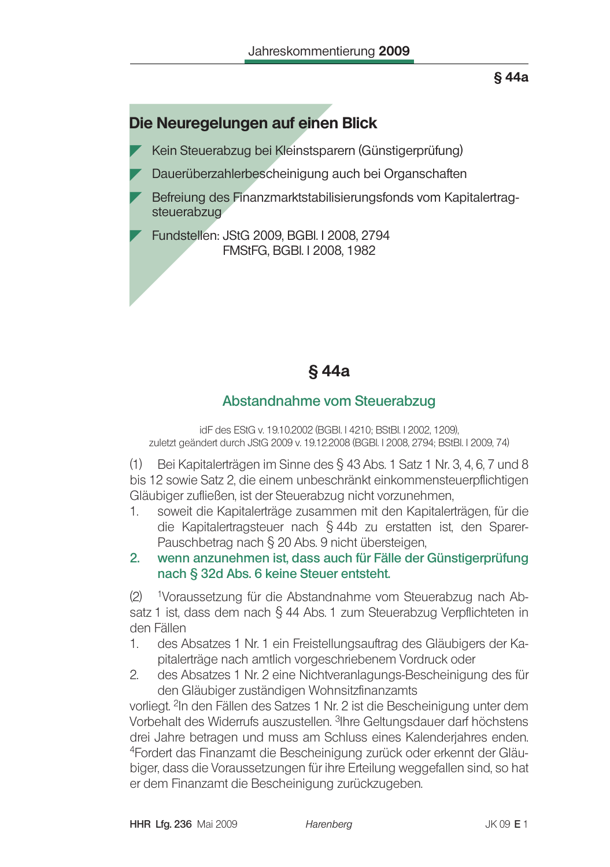# Die Neuregelungen auf einen Blick

Kein Steuerabzug bei Kleinstsparern (Günstigerprüfung)

- Dauerüberzahlerbescheinigung auch bei Organschaften
- Befreiung des Finanzmarktstabilisierungsfonds vom Kapitalertragsteuerabzug

Fundstellen: JStG 2009, BGBI, I 2008, 2794 FMStFG, BGBI, I 2008, 1982

# §44a

# Abstandnahme vom Steuerabzug

idF des EStG v. 19.10.2002 (BGBI, I 4210: BStBI, I 2002, 1209). zuletzt geändert durch JStG 2009 v. 19.12.2008 (BGBI. I 2008, 2794; BStBI. I 2009, 74)

Bei Kapitalerträgen im Sinne des § 43 Abs. 1 Satz 1 Nr. 3, 4, 6, 7 und 8  $(1)$ bis 12 sowie Satz 2, die einem unbeschränkt einkommensteuerpflichtigen Gläubiger zufließen, ist der Steuerabzug nicht vorzunehmen,

1. soweit die Kapitalerträge zusammen mit den Kapitalerträgen, für die die Kapitalertragsteuer nach § 44b zu erstatten ist, den Sparer-Pauschbetrag nach § 20 Abs. 9 nicht übersteigen.

#### $2<sup>1</sup>$ wenn anzunehmen ist, dass auch für Fälle der Günstigerprüfung nach § 32d Abs. 6 keine Steuer entsteht.

 $(2)$ <sup>1</sup>Voraussetzung für die Abstandnahme vom Steuerabzug nach Absatz 1 ist, dass dem nach § 44 Abs. 1 zum Steuerabzug Verpflichteten in den Fällen

- $1_{-}$ des Absatzes 1 Nr. 1 ein Freistellungsauftrag des Gläubigers der Kapitalerträge nach amtlich vorgeschriebenem Vordruck oder
- $2.$ des Absatzes 1 Nr. 2 eine Nichtveranlagungs-Bescheinigung des für den Gläubiger zuständigen Wohnsitzfinanzamts

vorliegt. <sup>2</sup>In den Fällen des Satzes 1 Nr. 2 ist die Bescheinigung unter dem Vorbehalt des Widerrufs auszustellen. <sup>3</sup>Ihre Geltungsdauer darf höchstens drei Jahre betragen und muss am Schluss eines Kalenderjahres enden. <sup>4</sup>Fordert das Finanzamt die Bescheinigung zurück oder erkennt der Gläubiger, dass die Voraussetzungen für ihre Erteilung weggefallen sind, so hat er dem Finanzamt die Bescheinigung zurückzugeben.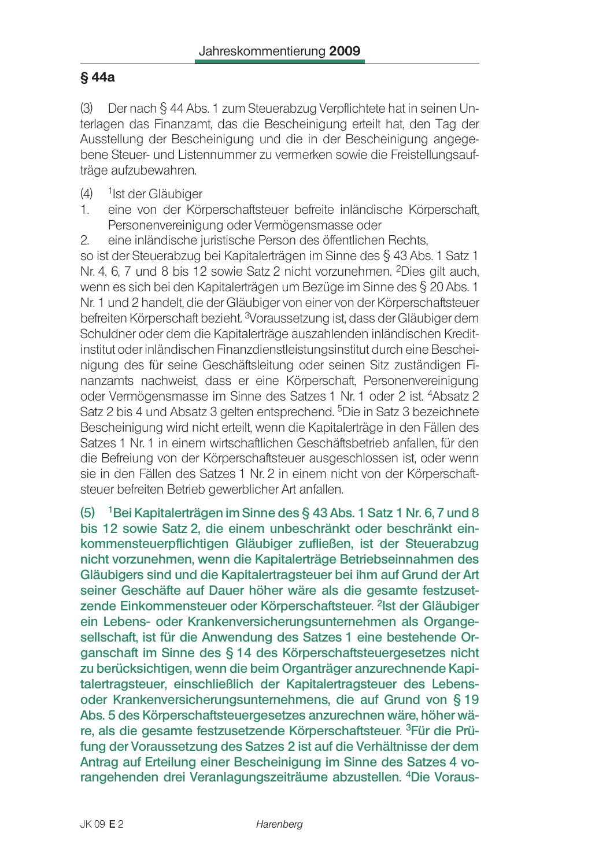$(3)$ Der nach § 44 Abs. 1 zum Steuerabzug Verpflichtete hat in seinen Unterlagen das Finanzamt, das die Bescheinigung erteilt hat, den Tag der Ausstellung der Bescheinigung und die in der Bescheinigung angegebene Steuer- und Listennummer zu vermerken sowie die Freistellungsaufträge aufzubewahren.

- $(4)$ <sup>1</sup>Ist der Gläubiger
- $1<sub>1</sub>$ eine von der Körperschaftsteuer befreite inländische Körperschaft, Personenvereinigung oder Vermögensmasse oder
- $2^{1}$ eine inländische juristische Person des öffentlichen Rechts,

so ist der Steuerabzug bei Kapitalerträgen im Sinne des § 43 Abs. 1 Satz 1 Nr. 4, 6, 7 und 8 bis 12 sowie Satz 2 nicht vorzunehmen. <sup>2</sup>Dies gilt auch, wenn es sich bei den Kapitalerträgen um Bezüge im Sinne des § 20 Abs. 1 Nr. 1 und 2 handelt, die der Gläubiger von einer von der Körperschaftsteuer befreiten Körperschaft bezieht. <sup>3</sup>Voraussetzung ist, dass der Gläubiger dem Schuldner oder dem die Kapitalerträge auszahlenden inländischen Kreditinstitut oder inländischen Finanzdienstleistungsinstitut durch eine Bescheinigung des für seine Geschäftsleitung oder seinen Sitz zuständigen Finanzamts nachweist, dass er eine Körperschaft, Personenvereinigung oder Vermögensmasse im Sinne des Satzes 1 Nr. 1 oder 2 ist. <sup>4</sup>Absatz 2 Satz 2 bis 4 und Absatz 3 gelten entsprechend. <sup>5</sup>Die in Satz 3 bezeichnete Bescheinigung wird nicht erteilt, wenn die Kapitalerträge in den Fällen des Satzes 1 Nr. 1 in einem wirtschaftlichen Geschäftsbetrieb anfallen, für den die Befreiung von der Körperschaftsteuer ausgeschlossen ist, oder wenn sie in den Fällen des Satzes 1 Nr. 2 in einem nicht von der Körperschaftsteuer befreiten Betrieb gewerblicher Art anfallen.

(5) <sup>1</sup> Bei Kapitalerträgen im Sinne des § 43 Abs. 1 Satz 1 Nr. 6, 7 und 8 bis 12 sowie Satz 2. die einem unbeschränkt oder beschränkt einkommensteuerpflichtigen Gläubiger zufließen, ist der Steuerabzug nicht vorzunehmen, wenn die Kapitalerträge Betriebseinnahmen des Gläubigers sind und die Kapitalertragsteuer bei ihm auf Grund der Art seiner Geschäfte auf Dauer höher wäre als die gesamte festzusetzende Einkommensteuer oder Körperschaftsteuer. <sup>2</sup>Ist der Gläubiger ein Lebens- oder Krankenversicherungsunternehmen als Organgesellschaft, ist für die Anwendung des Satzes 1 eine bestehende Organschaft im Sinne des § 14 des Körperschaftsteuergesetzes nicht zu berücksichtigen, wenn die beim Organträger anzurechnende Kapitalertragsteuer, einschließlich der Kapitalertragsteuer des Lebensoder Krankenversicherungsunternehmens, die auf Grund von §19 Abs. 5 des Körperschaftsteuergesetzes anzurechnen wäre, höher wäre, als die gesamte festzusetzende Körperschaftsteuer. <sup>3</sup>Für die Prüfung der Voraussetzung des Satzes 2 ist auf die Verhältnisse der dem Antrag auf Erteilung einer Bescheinigung im Sinne des Satzes 4 vorangehenden drei Veranlagungszeiträume abzustellen. <sup>4</sup>Die Voraus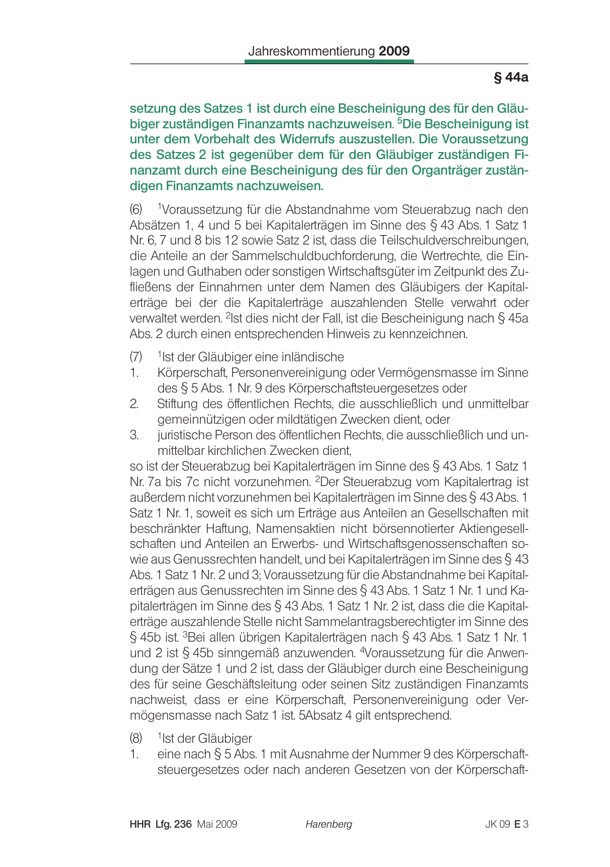setzung des Satzes 1 ist durch eine Bescheinigung des für den Gläubiger zuständigen Finanzamts nachzuweisen. <sup>5</sup>Die Bescheinigung ist unter dem Vorbehalt des Widerrufs auszustellen. Die Voraussetzung des Satzes 2 ist gegenüber dem für den Gläubiger zuständigen Finanzamt durch eine Bescheinigung des für den Organträger zuständigen Finanzamts nachzuweisen.

 $(6)$ 1Voraussetzung für die Abstandnahme vom Steuerabzug nach den Absätzen 1, 4 und 5 bei Kapitalerträgen im Sinne des § 43 Abs. 1 Satz 1 Nr. 6, 7 und 8 bis 12 sowie Satz 2 ist, dass die Teilschuldverschreibungen, die Anteile an der Sammelschuldbuchforderung, die Wertrechte, die Einlagen und Guthaben oder sonstigen Wirtschaftsgüter im Zeitpunkt des Zufließens der Einnahmen unter dem Namen des Gläubigers der Kapitalerträge bei der die Kapitalerträge auszahlenden Stelle verwahrt oder verwaltet werden. <sup>2</sup>lst dies nicht der Fall, ist die Bescheinigung nach § 45a Abs. 2 durch einen entsprechenden Hinweis zu kennzeichnen.

- $(7)$ <sup>1</sup>lst der Gläubiger eine inländische
- Körperschaft, Personenvereinigung oder Vermögensmasse im Sinne  $\mathbf{1}$ des § 5 Abs. 1 Nr. 9 des Körperschaftsteuergesetzes oder
- $\overline{2}$ . Stiftung des öffentlichen Rechts, die ausschließlich und unmittelbar gemeinnützigen oder mildtätigen Zwecken dient, oder
- $\mathcal{S}_{\cdot}$ juristische Person des öffentlichen Rechts, die ausschließlich und unmittelbar kirchlichen Zwecken dient.

so ist der Steuerabzug bei Kapitalerträgen im Sinne des § 43 Abs. 1 Satz 1 Nr. 7a bis 7c nicht vorzunehmen. <sup>2</sup>Der Steuerabzug vom Kapitalertrag ist außerdem nicht vorzunehmen bei Kapitalerträgen im Sinne des § 43 Abs. 1 Satz 1 Nr. 1, soweit es sich um Erträge aus Anteilen an Gesellschaften mit beschränkter Haftung. Namensaktien nicht börsennotierter Aktiengesellschaften und Anteilen an Erwerbs- und Wirtschaftsgenossenschaften sowie aus Genussrechten handelt, und bei Kapitalerträgen im Sinne des § 43 Abs. 1 Satz 1 Nr. 2 und 3; Voraussetzung für die Abstandnahme bei Kapitalerträgen aus Genussrechten im Sinne des § 43 Abs. 1 Satz 1 Nr. 1 und Kapitalerträgen im Sinne des § 43 Abs. 1 Satz 1 Nr. 2 ist, dass die die Kapitalerträge auszahlende Stelle nicht Sammelantragsberechtigter im Sinne des § 45b ist. <sup>3</sup>Bei allen übrigen Kapitalerträgen nach § 43 Abs. 1 Satz 1 Nr. 1 und 2 ist § 45b sinngemäß anzuwenden. <sup>4</sup>Voraussetzung für die Anwendung der Sätze 1 und 2 ist, dass der Gläubiger durch eine Bescheinigung des für seine Geschäftsleitung oder seinen Sitz zuständigen Finanzamts nachweist, dass er eine Körperschaft, Personenvereinigung oder Vermögensmasse nach Satz 1 ist. 5Absatz 4 gilt entsprechend.

- $(8)$ <sup>1</sup>lst der Gläubiger
- 1. eine nach § 5 Abs. 1 mit Ausnahme der Nummer 9 des Körperschaftsteuergesetzes oder nach anderen Gesetzen von der Körperschaft-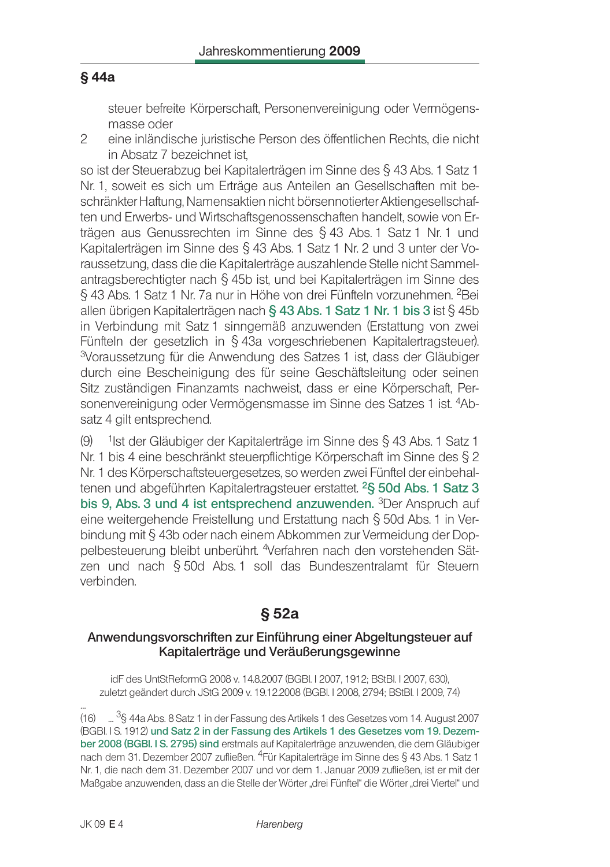steuer befreite Körperschaft, Personenvereinigung oder Vermögensmasse oder

 $\mathfrak{D}$ eine inländische juristische Person des öffentlichen Rechts, die nicht in Absatz 7 bezeichnet ist.

so ist der Steuerabzug bei Kapitalerträgen im Sinne des § 43 Abs. 1 Satz 1 Nr. 1, soweit es sich um Erträge aus Anteilen an Gesellschaften mit beschränkter Haftung. Namensaktien nicht börsennotierter Aktiengesellschaften und Erwerbs- und Wirtschaftsgenossenschaften handelt, sowie von Erträgen aus Genussrechten im Sinne des § 43 Abs. 1 Satz 1 Nr. 1 und Kapitalerträgen im Sinne des § 43 Abs. 1 Satz 1 Nr. 2 und 3 unter der Voraussetzung, dass die die Kapitalerträge auszahlende Stelle nicht Sammelantragsberechtigter nach § 45b ist, und bei Kapitalerträgen im Sinne des § 43 Abs. 1 Satz 1 Nr. 7a nur in Höhe von drei Fünfteln vorzunehmen. <sup>2</sup>Bei allen übrigen Kapitalerträgen nach § 43 Abs. 1 Satz 1 Nr. 1 bis 3 ist § 45b in Verbindung mit Satz 1 sinngemäß anzuwenden (Erstattung von zwei Fünfteln der gesetzlich in § 43a vorgeschriebenen Kapitalertragsteuer). <sup>3</sup>Voraussetzung für die Anwendung des Satzes 1 ist, dass der Gläubiger durch eine Bescheinigung des für seine Geschäftsleitung oder seinen Sitz zuständigen Finanzamts nachweist, dass er eine Körperschaft, Personenvereinigung oder Vermögensmasse im Sinne des Satzes 1 ist. 4Absatz 4 gilt entsprechend.

<sup>1</sup>lst der Gläubiger der Kapitalerträge im Sinne des § 43 Abs. 1 Satz 1  $(9)$ Nr. 1 bis 4 eine beschränkt steuerpflichtige Körperschaft im Sinne des § 2 Nr. 1 des Körperschaftsteuergesetzes, so werden zwei Fünftel der einbehaltenen und abgeführten Kapitalertragsteuer erstattet. <sup>2</sup>§ 50d Abs. 1 Satz 3 bis 9, Abs. 3 und 4 ist entsprechend anzuwenden. <sup>3</sup>Der Anspruch auf eine weitergehende Freistellung und Erstattung nach § 50d Abs. 1 in Verbindung mit § 43b oder nach einem Abkommen zur Vermeidung der Doppelbesteuerung bleibt unberührt. <sup>4</sup>Verfahren nach den vorstehenden Sätzen und nach § 50d Abs. 1 soll das Bundeszentralamt für Steuern verbinden

# $§ 52a$

### Anwendungsvorschriften zur Einführung einer Abgeltungsteuer auf Kapitalerträge und Veräußerungsgewinne

idF des UntStReformG 2008 v. 14.8.2007 (BGBI. I 2007, 1912; BStBI. I 2007, 630), zuletzt geändert durch JStG 2009 v. 19.12.2008 (BGBI. I 2008, 2794; BStBI. I 2009, 74)

(16) ... <sup>3</sup>§ 44a Abs. 8 Satz 1 in der Fassung des Artikels 1 des Gesetzes vom 14. August 2007 (BGBI IS. 1912) und Satz 2 in der Fassung des Artikels 1 des Gesetzes vom 19. Dezember 2008 (BGBI. I S. 2795) sind erstmals auf Kapitalerträge anzuwenden, die dem Gläubiger nach dem 31. Dezember 2007 zufließen. <sup>4</sup>Für Kapitalerträge im Sinne des § 43 Abs. 1 Satz 1 Nr. 1, die nach dem 31. Dezember 2007 und vor dem 1. Januar 2009 zufließen, ist er mit der Maßgabe anzuwenden, dass an die Stelle der Wörter "drei Fünftel" die Wörter "drei Viertel" und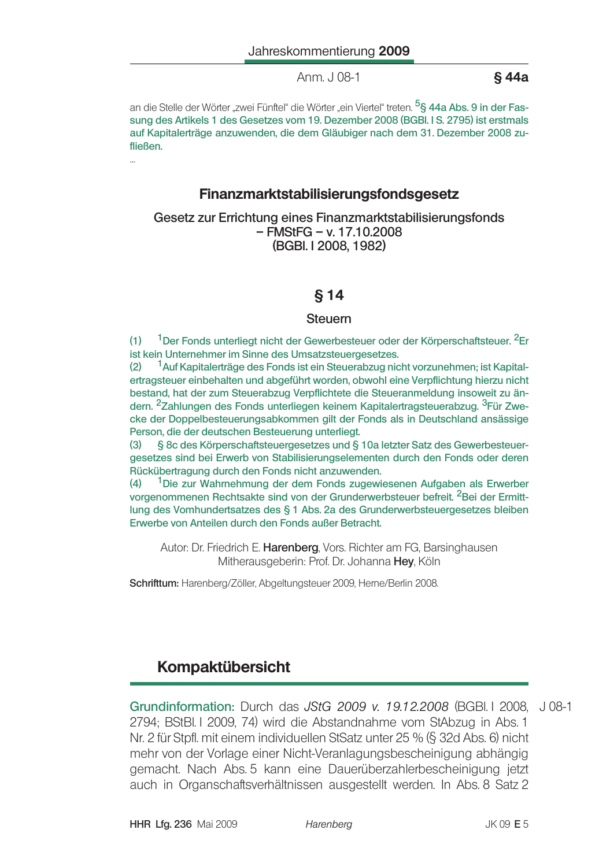Anm. J 08-1

§44a

an die Stelle der Wörter "zwei Fünftel" die Wörter "ein Viertel" treten. <sup>5</sup>§ 44a Abs. 9 in der Fassung des Artikels 1 des Gesetzes vom 19. Dezember 2008 (BGBI. I S. 2795) ist erstmals auf Kapitalerträge anzuwenden, die dem Gläubiger nach dem 31. Dezember 2008 zufließen.

### Finanzmarktstabilisierungsfondsgesetz

Gesetz zur Errichtung eines Finanzmarktstabilisierungsfonds  $-$  FMStFG  $-$  v. 17.10.2008 (BGBI, I 2008, 1982)

### **§14**

### **Steuern**

 $(1)$ <sup>1</sup>Der Fonds unterliegt nicht der Gewerbesteuer oder der Körperschaftsteuer. <sup>2</sup>Er ist kein Unternehmer im Sinne des Umsatzsteuergesetzes.

<sup>1</sup> Auf Kapitalerträge des Fonds ist ein Steuerabzug nicht vorzunehmen; ist Kapital- $(2)$ ertragsteuer einbehalten und abgeführt worden, obwohl eine Verpflichtung hierzu nicht bestand, hat der zum Steuerabzug Verpflichtete die Steueranmeldung insoweit zu ändern. <sup>2</sup>Zahlungen des Fonds unterliegen keinem Kapitalertragsteuerabzug. <sup>3</sup>Für Zwecke der Doppelbesteuerungsabkommen gilt der Fonds als in Deutschland ansässige Person, die der deutschen Besteuerung unterliegt.

§ 8c des Körperschaftsteuergesetzes und § 10a letzter Satz des Gewerbesteuer- $(3)$ gesetzes sind bei Erwerb von Stabilisierungselementen durch den Fonds oder deren Rückübertragung durch den Fonds nicht anzuwenden.

<sup>1</sup>Die zur Wahrnehmung der dem Fonds zugewiesenen Aufgaben als Erwerber  $(4)$ vorgenommenen Rechtsakte sind von der Grunderwerbsteuer befreit. <sup>2</sup>Bei der Ermittlung des Vomhundertsatzes des § 1 Abs. 2a des Grunderwerbsteuergesetzes bleiben Erwerbe von Anteilen durch den Fonds außer Betracht.

Autor: Dr. Friedrich E. Harenberg, Vors. Richter am FG, Barsinghausen Mitherausgeberin: Prof. Dr. Johanna Hey, Köln

Schrifttum: Harenberg/Zöller, Abgeltungsteuer 2009, Herne/Berlin 2008.

# Kompaktübersicht

Grundinformation: Durch das JStG 2009 v. 19.12.2008 (BGBI. I 2008, J 08-1 2794; BStBl. I 2009, 74) wird die Abstandnahme vom StAbzug in Abs. 1 Nr. 2 für Stpfl. mit einem individuellen StSatz unter 25 % (§ 32d Abs. 6) nicht mehr von der Vorlage einer Nicht-Veranlagungsbescheinigung abhängig gemacht. Nach Abs. 5 kann eine Dauerüberzahlerbescheinigung jetzt auch in Organschaftsverhältnissen ausgestellt werden. In Abs. 8 Satz 2

Harenberg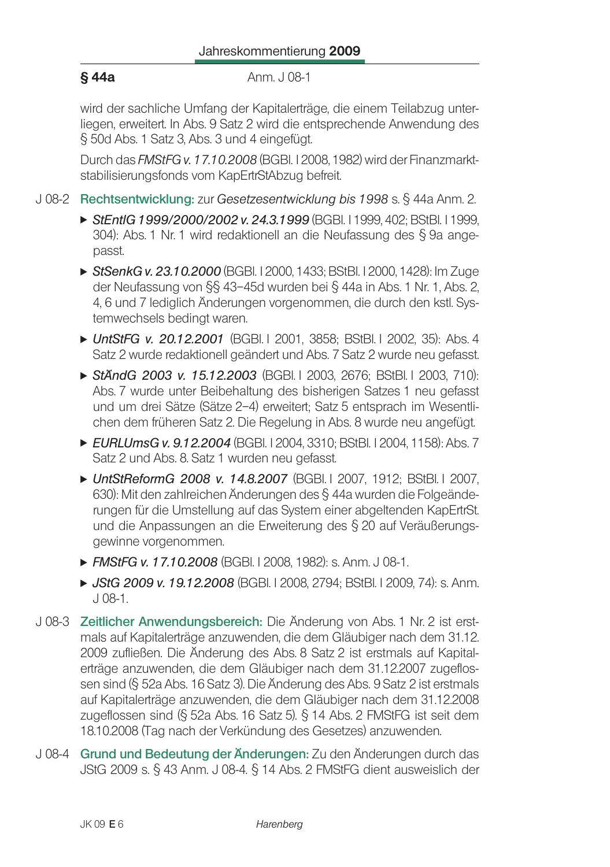#### §44a Anm. J 08-1

wird der sachliche Umfang der Kapitalerträge, die einem Teilabzug unterliegen, erweitert. In Abs. 9 Satz 2 wird die entsprechende Anwendung des § 50d Abs. 1 Satz 3, Abs. 3 und 4 eingefügt.

Durch das FMStFG v. 17.10.2008 (BGBI. I 2008, 1982) wird der Finanzmarktstabilisierungsfonds vom KapErtrStAbzug befreit.

- J 08-2 Rechtsentwicklung: zur Gesetzesentwicklung bis 1998 s. § 44a Anm. 2.
	- ► StEntIG 1999/2000/2002 v. 24.3.1999 (BGBI. I 1999, 402; BStBI. I 1999, 304): Abs. 1 Nr. 1 wird redaktionell an die Neufassung des § 9a angepasst.
	- ► StSenkG v. 23.10.2000 (BGBI. 12000, 1433; BStBI. 12000, 1428): Im Zuge der Neufassung von §§ 43-45d wurden bei § 44a in Abs. 1 Nr. 1, Abs. 2, 4.6 und 7 lediglich Änderungen vorgenommen, die durch den kstl. Systemwechsels bedingt waren.
	- ► UntStFG v. 20.12.2001 (BGBI.1 2001, 3858; BStBI.1 2002, 35): Abs. 4 Satz 2 wurde redaktionell geändert und Abs. 7 Satz 2 wurde neu gefasst.
	- ► StÄndG 2003 v. 15.12.2003 (BGBI 1 2003, 2676: BStBI 1 2003, 710): Abs. 7 wurde unter Beibehaltung des bisherigen Satzes 1 neu gefasst und um drei Sätze (Sätze 2–4) erweitert: Satz 5 entsprach im Wesentlichen dem früheren Satz 2. Die Regelung in Abs. 8 wurde neu angefügt.
	- EURLUmsG v. 9.12.2004 (BGBI, I 2004, 3310; BStBI, I 2004, 1158); Abs. 7 Satz 2 und Abs. 8. Satz 1 wurden neu gefasst.
	- ► UntStReformG 2008 v. 14.8.2007 (BGBI I 2007, 1912: BStBI I 2007, 630): Mit den zahlreichen Änderungen des § 44a wurden die Folgeänderungen für die Umstellung auf das System einer abgeltenden KapErtrSt. und die Anpassungen an die Erweiterung des § 20 auf Veräußerungsgewinne vorgenommen.
	- FMStFG v. 17.10.2008 (BGBI, I 2008, 1982): s. Anm. J 08-1.
	- ► JStG 2009 v. 19.12.2008 (BGBI. I 2008, 2794; BStBI. I 2009, 74): s. Anm.  $J$  08-1.
- J 08-3 Zeitlicher Anwendungsbereich: Die Änderung von Abs. 1 Nr. 2 ist erstmals auf Kapitalerträge anzuwenden, die dem Gläubiger nach dem 31.12. 2009 zufließen. Die Änderung des Abs. 8 Satz 2 ist erstmals auf Kapitalerträge anzuwenden, die dem Gläubiger nach dem 31.12.2007 zugeflossen sind (§ 52a Abs. 16 Satz 3). Die Änderung des Abs. 9 Satz 2 ist erstmals auf Kapitalerträge anzuwenden, die dem Gläubiger nach dem 31.12.2008 zugeflossen sind (§ 52a Abs. 16 Satz 5). § 14 Abs. 2 FMStFG ist seit dem 18.10.2008 (Tag nach der Verkündung des Gesetzes) anzuwenden.
- J 08-4 Grund und Bedeutung der Änderungen: Zu den Änderungen durch das JStG 2009 s. § 43 Anm. J 08-4. § 14 Abs. 2 FMStFG dient ausweislich der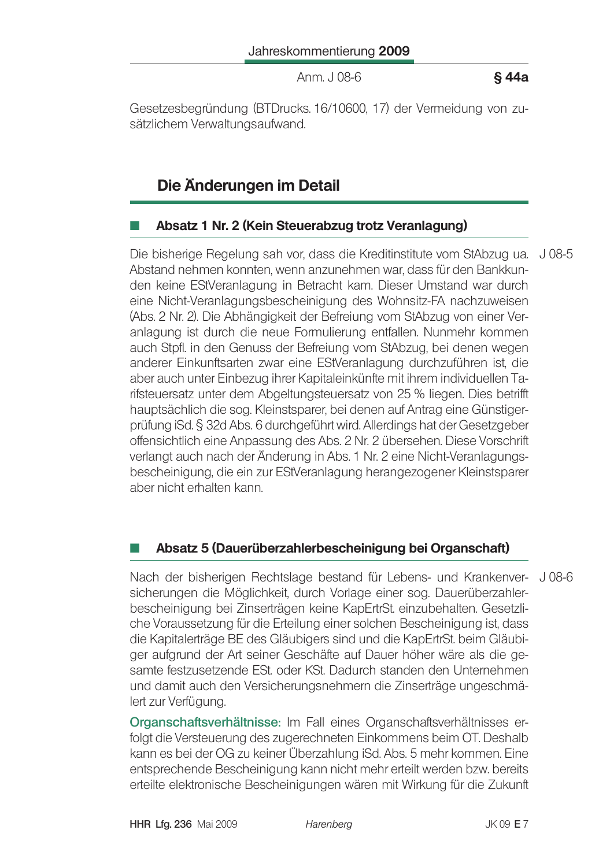Anm. J 08-6

§44a

Gesetzesbegründung (BTDrucks. 16/10600, 17) der Vermeidung von zusätzlichem Verwaltungsaufwand.

# Die Änderungen im Detail

### Absatz 1 Nr. 2 (Kein Steuerabzug trotz Veranlagung)

Die bisherige Regelung sah vor, dass die Kreditinstitute vom StAbzug ua. J 08-5 Abstand nehmen konnten, wenn anzunehmen war, dass für den Bankkunden keine EStVeranlagung in Betracht kam. Dieser Umstand war durch eine Nicht-Veranlagungsbescheinigung des Wohnsitz-FA nachzuweisen (Abs. 2 Nr. 2). Die Abhängigkeit der Befreiung vom StAbzug von einer Veranlagung ist durch die neue Formulierung entfallen. Nunmehr kommen auch Stpfl. in den Genuss der Befreiung vom StAbzug, bei denen wegen anderer Einkunftsarten zwar eine EStVeranlagung durchzuführen ist, die aber auch unter Einbezug ihrer Kapitaleinkünfte mit ihrem individuellen Tarifsteuersatz unter dem Abgeltungsteuersatz von 25 % liegen. Dies betrifft hauptsächlich die sog. Kleinstsparer, bei denen auf Antrag eine Günstigerprüfung iSd. § 32d Abs. 6 durchgeführt wird. Allerdings hat der Gesetzgeber offensichtlich eine Anpassung des Abs. 2 Nr. 2 übersehen. Diese Vorschrift verlangt auch nach der Änderung in Abs. 1 Nr. 2 eine Nicht-Veranlagungsbescheinigung, die ein zur EStVeranlagung herangezogener Kleinstsparer aber nicht erhalten kann.

## Absatz 5 (Dauerüberzahlerbescheinigung bei Organschaft)

Nach der bisherigen Rechtslage bestand für Lebens- und Krankenver- J08-6 sicherungen die Möglichkeit, durch Vorlage einer sog. Dauerüberzahlerbescheinigung bei Zinserträgen keine KapErtrSt. einzubehalten. Gesetzliche Voraussetzung für die Erteilung einer solchen Bescheinigung ist, dass die Kapitalerträge BE des Gläubigers sind und die KapErtrSt. beim Gläubiger aufgrund der Art seiner Geschäfte auf Dauer höher wäre als die gesamte festzusetzende ESt, oder KSt. Dadurch standen den Unternehmen und damit auch den Versicherungsnehmern die Zinserträge ungeschmälert zur Verfügung.

Organschaftsverhältnisse: Im Fall eines Organschaftsverhältnisses erfolgt die Versteuerung des zugerechneten Einkommens beim OT. Deshalb kann es bei der OG zu keiner Überzahlung iSd. Abs. 5 mehr kommen. Eine entsprechende Bescheinigung kann nicht mehr erteilt werden bzw. bereits erteilte elektronische Bescheinigungen wären mit Wirkung für die Zukunft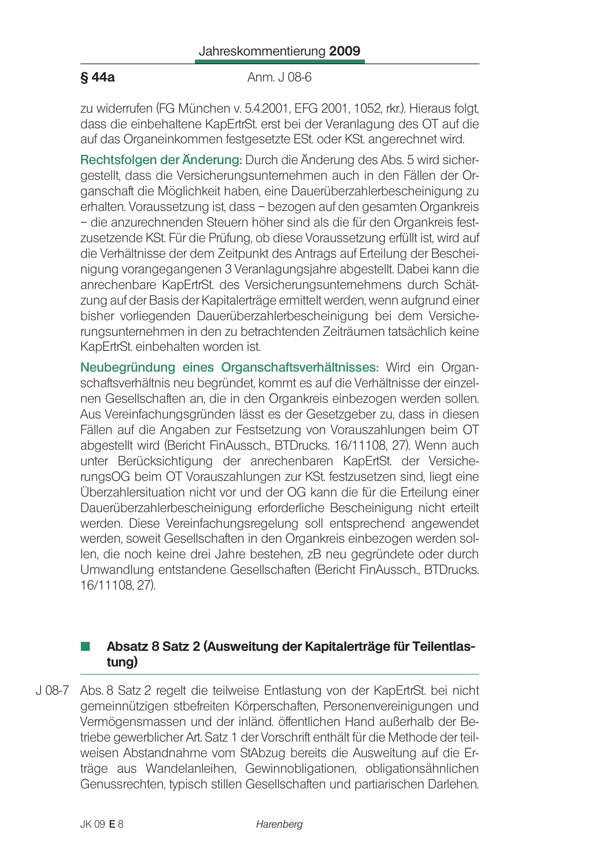Anm. J 08-6

zu widerrufen (FG München v. 5.4.2001, EFG 2001, 1052, rkr.). Hieraus folgt, dass die einbehaltene KapErtrSt, erst bei der Veranlagung des OT auf die auf das Organeinkommen festgesetzte ESt. oder KSt. angerechnet wird.

Rechtsfolgen der Änderung: Durch die Änderung des Abs. 5 wird sichergestellt, dass die Versicherungsunternehmen auch in den Fällen der Organschaft die Möglichkeit haben, eine Dauerüberzahlerbescheinigung zu erhalten. Voraussetzung ist, dass - bezogen auf den gesamten Organkreis - die anzurechnenden Steuern höher sind als die für den Organkreis festzusetzende KSt. Für die Prüfung, ob diese Voraussetzung erfüllt ist, wird auf die Verhältnisse der dem Zeitpunkt des Antrags auf Erteilung der Bescheinigung vorangegangenen 3 Veranlagungsjahre abgestellt. Dabei kann die anrechenbare KapErtrSt. des Versicherungsunternehmens durch Schätzung auf der Basis der Kapitalerträge ermittelt werden, wenn aufgrund einer bisher vorliegenden Dauerüberzahlerbescheinigung bei dem Versicherungsunternehmen in den zu betrachtenden Zeiträumen tatsächlich keine KapErtrSt. einbehalten worden ist.

Neubegründung eines Organschaftsverhältnisses: Wird ein Organschaftsverhältnis neu begründet, kommt es auf die Verhältnisse der einzelnen Gesellschaften an, die in den Organkreis einbezogen werden sollen. Aus Vereinfachungsgründen lässt es der Gesetzgeber zu, dass in diesen Fällen auf die Angaben zur Festsetzung von Vorauszahlungen beim OT abgestellt wird (Bericht FinAussch., BTDrucks. 16/11108, 27). Wenn auch unter Berücksichtigung der anrechenbaren KapErtSt. der VersicherungsOG beim OT Vorauszahlungen zur KSt. festzusetzen sind, liegt eine Überzahlersituation nicht vor und der OG kann die für die Erteilung einer Dauerüberzahlerbescheinigung erforderliche Bescheinigung nicht erteilt werden. Diese Vereinfachungsregelung soll entsprechend angewendet werden, soweit Gesellschaften in den Organkreis einbezogen werden sollen, die noch keine drei Jahre bestehen, zB neu gegründete oder durch Umwandlung entstandene Gesellschaften (Bericht FinAussch., BTDrucks. 16/11108.27).

### Absatz 8 Satz 2 (Ausweitung der Kapitalerträge für Teilentlastung)

J 08-7 Abs. 8 Satz 2 regelt die teilweise Entlastung von der KapErtrSt. bei nicht gemeinnützigen stbefreiten Körperschaften, Personenvereinigungen und Vermögensmassen und der inländ. öffentlichen Hand außerhalb der Betriebe gewerblicher Art. Satz 1 der Vorschrift enthält für die Methode der teilweisen Abstandnahme vom StAbzug bereits die Ausweitung auf die Erträge aus Wandelanleihen, Gewinnobligationen, obligationsähnlichen Genussrechten, typisch stillen Gesellschaften und partiarischen Darlehen.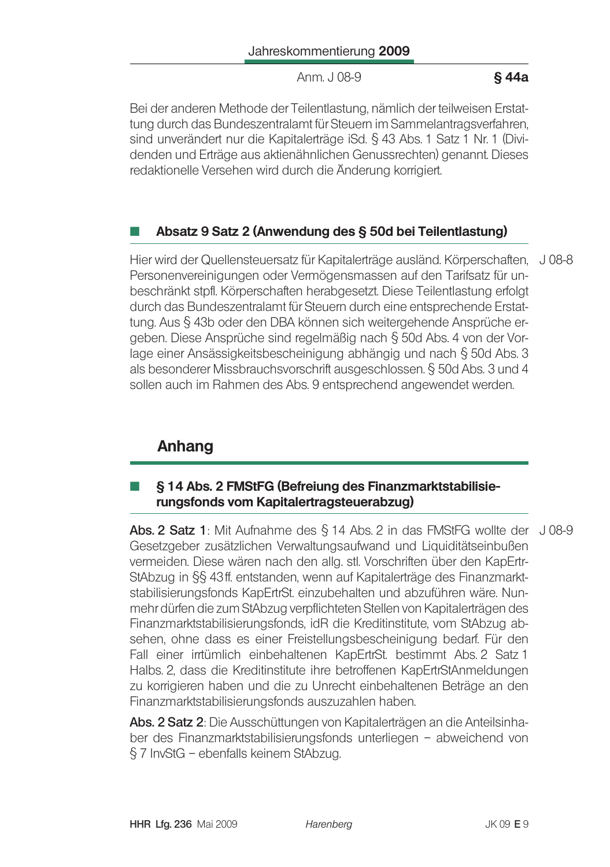Anm. J 08-9

### §44a

Bei der anderen Methode der Teilentlastung, nämlich der teilweisen Erstattung durch das Bundeszentralamt für Steuern im Sammelantragsverfahren. sind unverändert nur die Kapitalerträge iSd. § 43 Abs. 1 Satz 1 Nr. 1 (Dividenden und Erträge aus aktienähnlichen Genussrechten) genannt. Dieses redaktionelle Versehen wird durch die Änderung korrigiert.

### Absatz 9 Satz 2 (Anwendung des § 50d bei Teilentlastung)

Hier wird der Quellensteuersatz für Kapitalerträge ausländ. Körperschaften, J 08-8 Personenvereinigungen oder Vermögensmassen auf den Tarifsatz für unbeschränkt stpfl. Körperschaften herabgesetzt. Diese Teilentlastung erfolgt durch das Bundeszentralamt für Steuern durch eine entsprechende Erstattung. Aus § 43b oder den DBA können sich weitergehende Ansprüche ergeben. Diese Ansprüche sind regelmäßig nach § 50d Abs. 4 von der Vorlage einer Ansässigkeitsbescheinigung abhängig und nach § 50d Abs. 3 als besonderer Missbrauchsvorschrift ausgeschlossen. § 50d Abs. 3 und 4 sollen auch im Rahmen des Abs. 9 entsprechend angewendet werden.

# Anhang

### § 14 Abs. 2 FMStFG (Befreiung des Finanzmarktstabilisierungsfonds vom Kapitalertragsteuerabzug)

Abs. 2 Satz 1: Mit Aufnahme des § 14 Abs. 2 in das FMStFG wollte der J08-9 Gesetzgeber zusätzlichen Verwaltungsaufwand und Liquiditätseinbußen vermeiden. Diese wären nach den allg, stl. Vorschriften über den KapErtr-StAbzug in §§ 43ff. entstanden, wenn auf Kapitalerträge des Finanzmarktstabilisierungsfonds KapErtrSt. einzubehalten und abzuführen wäre. Nunmehr dürfen die zum StAbzug verpflichteten Stellen von Kapitalerträgen des Finanzmarktstabilisierungsfonds, idR die Kreditinstitute, vom StAbzug absehen, ohne dass es einer Freistellungsbescheinigung bedarf. Für den Fall einer irrtümlich einbehaltenen KapErtrSt. bestimmt Abs. 2 Satz 1 Halbs, 2, dass die Kreditinstitute ihre betroffenen KapErtrStAnmeldungen zu korrigieren haben und die zu Unrecht einbehaltenen Beträge an den Finanzmarktstabilisierungsfonds auszuzahlen haben.

Abs. 2 Satz 2: Die Ausschüttungen von Kapitalerträgen an die Anteilsinhaber des Finanzmarktstabilisierungsfonds unterliegen - abweichend von § 7 InvStG - ebenfalls keinem StAbzug.